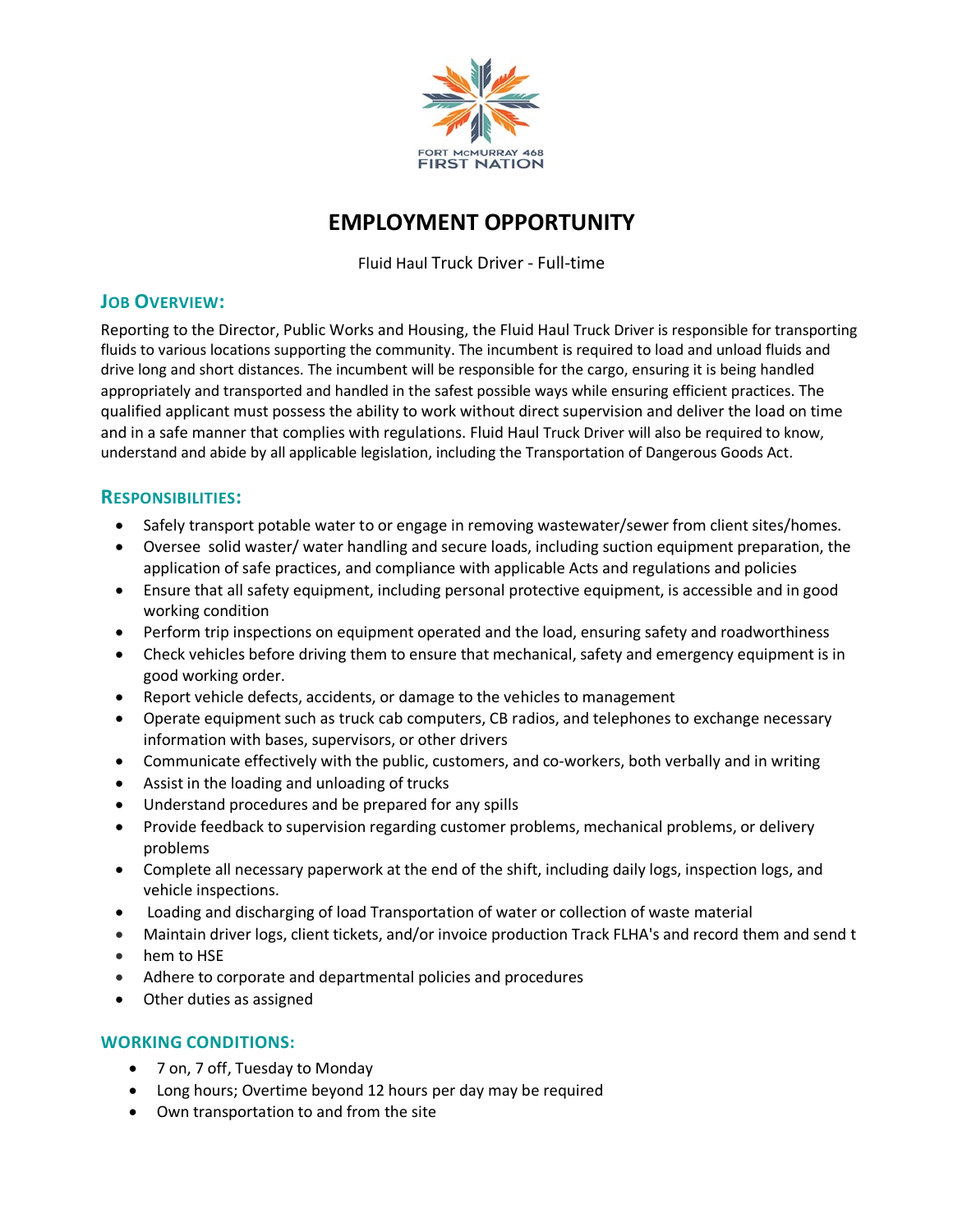

# **EMPLOYMENT OPPORTUNITY**

Fluid Haul Truck Driver - Full-time

### **JOB OVERVIEW:**

Reporting to the Director, Public Works and Housing, the Fluid Haul Truck Driver is responsible for transporting fluids to various locations supporting the community. The incumbent is required to load and unload fluids and drive long and short distances. The incumbent will be responsible for the cargo, ensuring it is being handled appropriately and transported and handled in the safest possible ways while ensuring efficient practices. The qualified applicant must possess the ability to work without direct supervision and deliver the load on time and in a safe manner that complies with regulations. Fluid Haul Truck Driver will also be required to know, understand and abide by all applicable legislation, including the Transportation of Dangerous Goods Act.

### **RESPONSIBILITIES:**

- Safely transport potable water to or engage in removing wastewater/sewer from client sites/homes.
- Oversee solid waster/ water handling and secure loads, including suction equipment preparation, the application of safe practices, and compliance with applicable Acts and regulations and policies
- Ensure that all safety equipment, including personal protective equipment, is accessible and in good working condition
- Perform trip inspections on equipment operated and the load, ensuring safety and roadworthiness
- Check vehicles before driving them to ensure that mechanical, safety and emergency equipment is in good working order.
- Report vehicle defects, accidents, or damage to the vehicles to management
- Operate equipment such as truck cab computers, CB radios, and telephones to exchange necessary information with bases, supervisors, or other drivers
- Communicate effectively with the public, customers, and co-workers, both verbally and in writing
- Assist in the loading and unloading of trucks
- Understand procedures and be prepared for any spills
- Provide feedback to supervision regarding customer problems, mechanical problems, or delivery problems
- Complete all necessary paperwork at the end of the shift, including daily logs, inspection logs, and vehicle inspections.
- Loading and discharging of load Transportation of water or collection of waste material
- Maintain driver logs, client tickets, and/or invoice production Track FLHA's and record them and send t
- hem to HSE
- Adhere to corporate and departmental policies and procedures
- Other duties as assigned

#### **WORKING CONDITIONS:**

- 7 on, 7 off, Tuesday to Monday
- Long hours; Overtime beyond 12 hours per day may be required
- Own transportation to and from the site